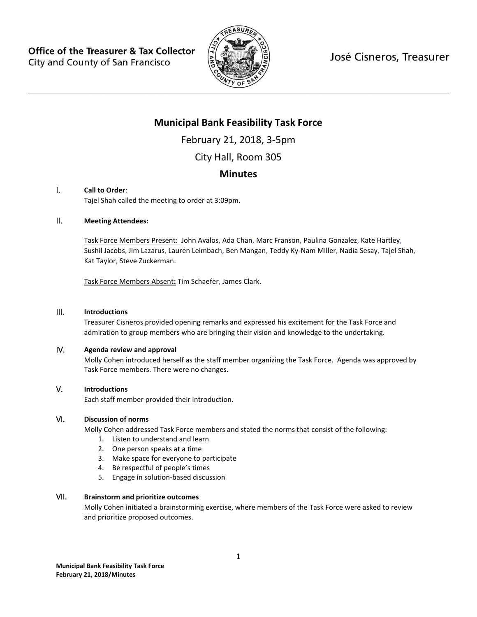**Office of the Treasurer & Tax Collector** City and County of San Francisco



José Cisneros, Treasurer

# **Municipal Bank Feasibility Task Force**

February 21, 2018, 3-5pm

City Hall, Room 305

# **Minutes**

#### I. **Call to Order**:

Tajel Shah called the meeting to order at 3:09pm.

#### II. **Meeting Attendees:**

Task Force Members Present: John Avalos, Ada Chan, Marc Franson, Paulina Gonzalez, Kate Hartley, Sushil Jacobs, Jim Lazarus, Lauren Leimbach, Ben Mangan, Teddy Ky-Nam Miller, Nadia Sesay, Tajel Shah, Kat Taylor, Steve Zuckerman.

Task Force Members Absent**:** Tim Schaefer, James Clark.

#### III. **Introductions**

Treasurer Cisneros provided opening remarks and expressed his excitement for the Task Force and admiration to group members who are bringing their vision and knowledge to the undertaking.

#### IV. **Agenda review and approval**

Molly Cohen introduced herself as the staff member organizing the Task Force. Agenda was approved by Task Force members. There were no changes.

#### V. **Introductions**

Each staff member provided their introduction.

#### VI. **Discussion of norms**

Molly Cohen addressed Task Force members and stated the norms that consist of the following:

- 1. Listen to understand and learn
- 2. One person speaks at a time
- 3. Make space for everyone to participate
- 4. Be respectful of people's times
- 5. Engage in solution-based discussion

### VII. **Brainstorm and prioritize outcomes**

Molly Cohen initiated a brainstorming exercise, where members of the Task Force were asked to review and prioritize proposed outcomes.